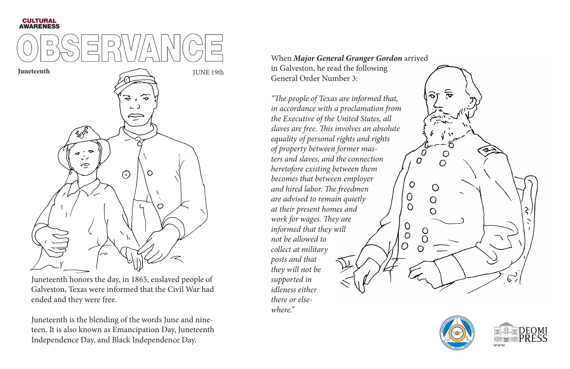## **CULTURAL<br>AWARENESS**



**Juneteenth** JUNE 19th  $\epsilon$  $\overline{\mathbf{P}}$  $\curvearrowleft$  $\bigodot$ O

Juneteenth honors the day, in 1865, enslaved people of Galveston, Texas were informed that the Civil War had ended and they were free.

Juneteenth is the blending of the words June and nineteen. It is also known as Emancipation Day, Juneteenth Independence Day, and Black Independence Day.

When *Major General Granger Gordon* arrived in Galveston, he read the following General Order Number 3:

*"The people of Texas are informed that, in accordance with a proclamation from the Executive of the United States, all slaves are free. This involves an absolute equality of personal rights and rights of property between former masters and slaves, and the connection heretofore existing between them becomes that between employer and hired labor. The freedmen are advised to remain quietly at their present homes and work for wages. They are*   $\theta$ *informed that they will*   $\overline{O}$ *not be allowed to collect at military posts and that they will not be supported in idleness either there or elsewhere."* 



 $\overline{O}$ 

 $\bigcirc$ 

 $\overline{O}$